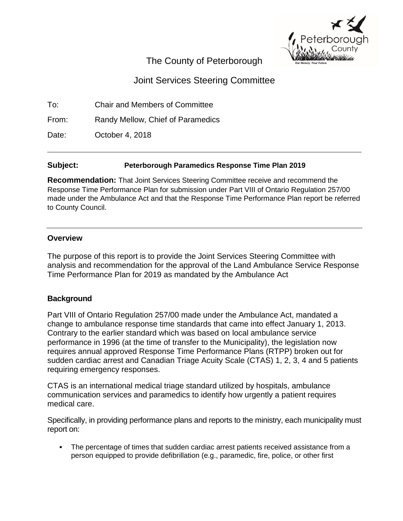

## The County of Peterborough

# Joint Services Steering Committee

To: Chair and Members of Committee

From: Randy Mellow, Chief of Paramedics

Date: **October 4, 2018** 

### **Subject: Peterborough Paramedics Response Time Plan 2019**

**Recommendation:** That Joint Services Steering Committee receive and recommend the Response Time Performance Plan for submission under Part VIII of Ontario Regulation 257/00 made under the Ambulance Act and that the Response Time Performance Plan report be referred to County Council.

### **Overview**

The purpose of this report is to provide the Joint Services Steering Committee with analysis and recommendation for the approval of the Land Ambulance Service Response Time Performance Plan for 2019 as mandated by the Ambulance Act

## **Background**

Part VIII of Ontario Regulation 257/00 made under the Ambulance Act, mandated a change to ambulance response time standards that came into effect January 1, 2013. Contrary to the earlier standard which was based on local ambulance service performance in 1996 (at the time of transfer to the Municipality), the legislation now requires annual approved Response Time Performance Plans (RTPP) broken out for sudden cardiac arrest and Canadian Triage Acuity Scale (CTAS) 1, 2, 3, 4 and 5 patients requiring emergency responses.

CTAS is an international medical triage standard utilized by hospitals, ambulance communication services and paramedics to identify how urgently a patient requires medical care.

Specifically, in providing performance plans and reports to the ministry, each municipality must report on:

 The percentage of times that sudden cardiac arrest patients received assistance from a person equipped to provide defibrillation (e.g., paramedic, fire, police, or other first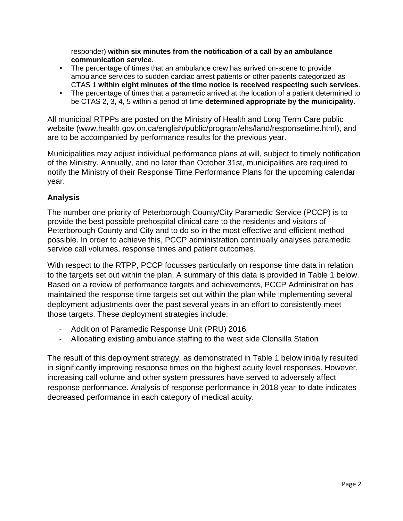responder) **within six minutes from the notification of a call by an ambulance communication service**.

- The percentage of times that an ambulance crew has arrived on-scene to provide ambulance services to sudden cardiac arrest patients or other patients categorized as CTAS 1 **within eight minutes of the time notice is received respecting such services**.
- The percentage of times that a paramedic arrived at the location of a patient determined to be CTAS 2, 3, 4, 5 within a period of time **determined appropriate by the municipality**.

All municipal RTPPs are posted on the Ministry of Health and Long Term Care public website (www.health.gov.on.ca/english/public/program/ehs/land/responsetime.html), and are to be accompanied by performance results for the previous year.

Municipalities may adjust individual performance plans at will, subject to timely notification of the Ministry. Annually, and no later than October 31st, municipalities are required to notify the Ministry of their Response Time Performance Plans for the upcoming calendar year.

## **Analysis**

The number one priority of Peterborough County/City Paramedic Service (PCCP) is to provide the best possible prehospital clinical care to the residents and visitors of Peterborough County and City and to do so in the most effective and efficient method possible. In order to achieve this, PCCP administration continually analyses paramedic service call volumes, response times and patient outcomes.

With respect to the RTPP, PCCP focusses particularly on response time data in relation to the targets set out within the plan. A summary of this data is provided in Table 1 below. Based on a review of performance targets and achievements, PCCP Administration has maintained the response time targets set out within the plan while implementing several deployment adjustments over the past several years in an effort to consistently meet those targets. These deployment strategies include:

- Addition of Paramedic Response Unit (PRU) 2016
- Allocating existing ambulance staffing to the west side Clonsilla Station

The result of this deployment strategy, as demonstrated in Table 1 below initially resulted in significantly improving response times on the highest acuity level responses. However, increasing call volume and other system pressures have served to adversely affect response performance. Analysis of response performance in 2018 year-to-date indicates decreased performance in each category of medical acuity.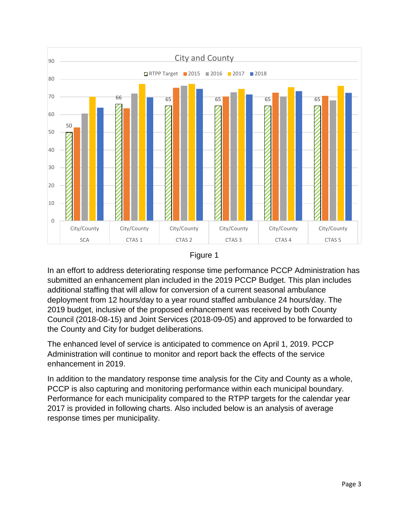



In an effort to address deteriorating response time performance PCCP Administration has submitted an enhancement plan included in the 2019 PCCP Budget. This plan includes additional staffing that will allow for conversion of a current seasonal ambulance deployment from 12 hours/day to a year round staffed ambulance 24 hours/day. The 2019 budget, inclusive of the proposed enhancement was received by both County Council (2018-08-15) and Joint Services (2018-09-05) and approved to be forwarded to the County and City for budget deliberations.

The enhanced level of service is anticipated to commence on April 1, 2019. PCCP Administration will continue to monitor and report back the effects of the service enhancement in 2019.

In addition to the mandatory response time analysis for the City and County as a whole, PCCP is also capturing and monitoring performance within each municipal boundary. Performance for each municipality compared to the RTPP targets for the calendar year 2017 is provided in following charts. Also included below is an analysis of average response times per municipality.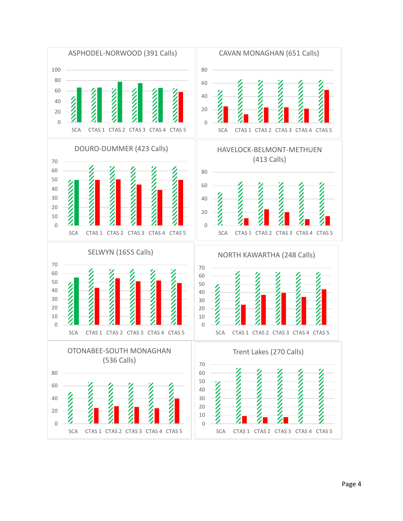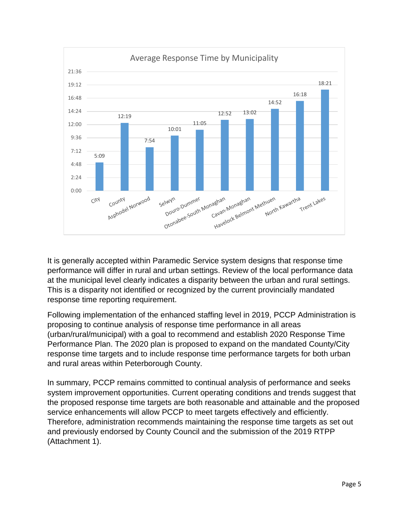

It is generally accepted within Paramedic Service system designs that response time performance will differ in rural and urban settings. Review of the local performance data at the municipal level clearly indicates a disparity between the urban and rural settings. This is a disparity not identified or recognized by the current provincially mandated response time reporting requirement.

Following implementation of the enhanced staffing level in 2019, PCCP Administration is proposing to continue analysis of response time performance in all areas (urban/rural/municipal) with a goal to recommend and establish 2020 Response Time Performance Plan. The 2020 plan is proposed to expand on the mandated County/City response time targets and to include response time performance targets for both urban and rural areas within Peterborough County.

In summary, PCCP remains committed to continual analysis of performance and seeks system improvement opportunities. Current operating conditions and trends suggest that the proposed response time targets are both reasonable and attainable and the proposed service enhancements will allow PCCP to meet targets effectively and efficiently. Therefore, administration recommends maintaining the response time targets as set out and previously endorsed by County Council and the submission of the 2019 RTPP (Attachment 1).